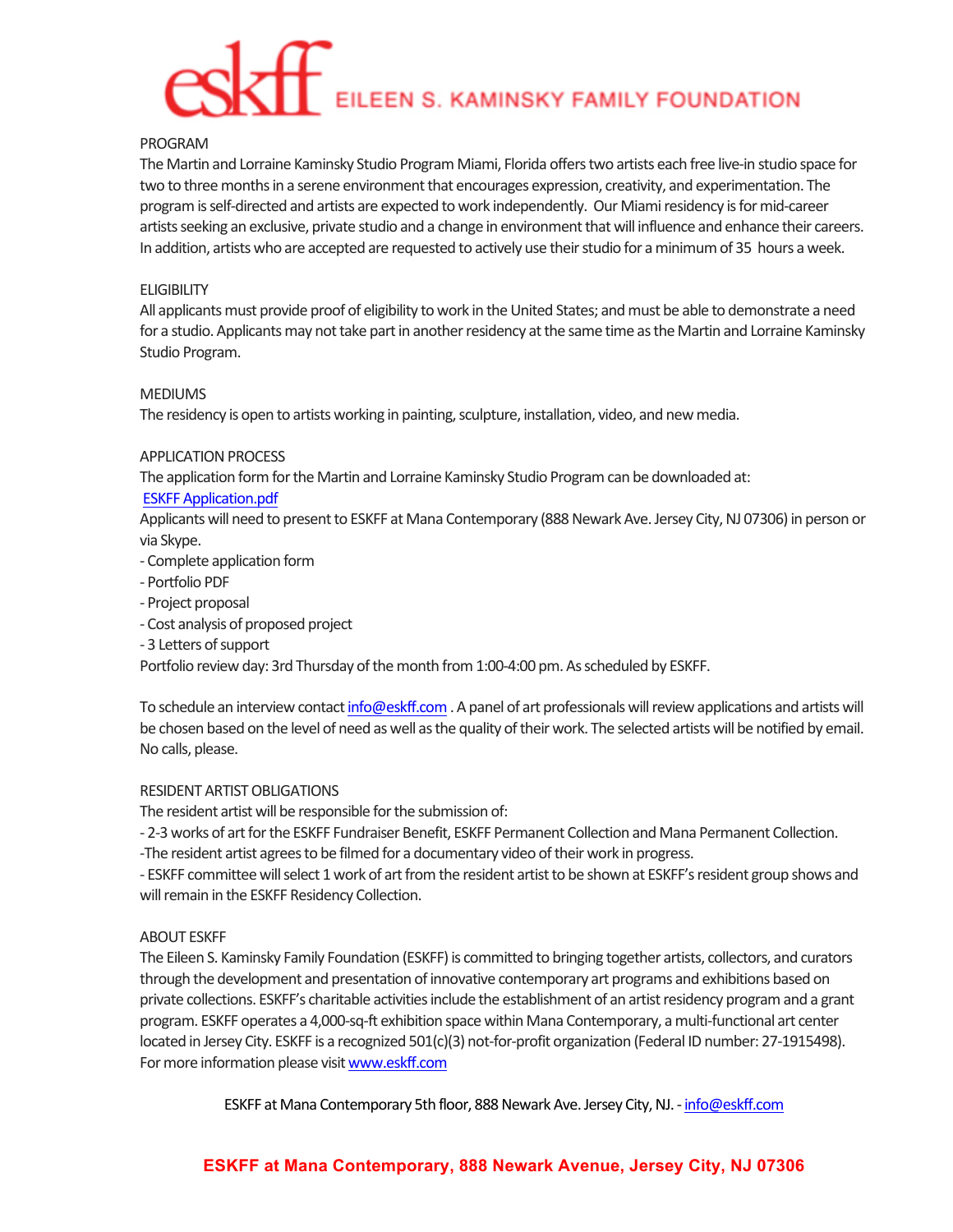# EILEEN S. KAMINSKY FAMILY FOUNDATION

# PROGRAM

The Martin and Lorraine Kaminsky Studio Program Miami, Florida offers two artists each free live-in studio space for two to three months in a serene environment that encourages expression, creativity, and experimentation. The program is self-directed and artists are expected to work independently. Our Miami residency is for mid-career artists seeking an exclusive, private studio and a change in environment that will influence and enhance their careers. In addition, artists who are accepted are requested to actively use their studio for a minimum of 35 hours a week.

# **ELIGIBILITY**

All applicants must provide proof of eligibility to work in the United States; and must be able to demonstrate a need for a studio. Applicants may not take part in another residency at the same time as the Martin and Lorraine Kaminsky Studio Program.

# MEDIUMS

The residency is open to artists working in painting, sculpture, installation, video, and new media.

# APPLICATION PROCESS

The application form for the Martin and Lorraine Kaminsky Studio Program can be downloaded at:

# **ESKFF Application.pdf**

Applicants will need to present to ESKFF at Mana Contemporary (888 Newark Ave. Jersey City, NJ 07306) in person or via Skype.

- Complete application form
- Portfolio PDF
- Project proposal
- Cost analysis of proposed project
- 3 Letters of support

Portfolio review day: 3rd Thursday of the month from 1:00-4:00 pm. As scheduled by ESKFF.

To schedule an interview contact info@eskff.com. A panel of art professionals will review applications and artists will be chosen based on the level of need as well as the quality of their work. The selected artists will be notified by email. No calls, please.

# RESIDENT ARTIST OBLIGATIONS

The resident artist will be responsible for the submission of:

- 2-3 works of art for the ESKFF Fundraiser Benefit, ESKFF Permanent Collection and Mana Permanent Collection. -The resident artist agrees to be filmed for a documentary video of their work in progress.

- ESKFF committee will select 1 work of art from the resident artist to be shown at ESKFF's resident group shows and will remain in the ESKFF Residency Collection.

# **ABOUT FSKFF**

The Eileen S. Kaminsky Family Foundation (ESKFF) is committed to bringing together artists, collectors, and curators through the development and presentation of innovative contemporary art programs and exhibitions based on private collections. ESKFF's charitable activities include the establishment of an artist residency program and a grant program. ESKFF operates a 4,000-sq-ft exhibition space within Mana Contemporary, a multi-functional art center located in Jersey City. ESKFF is a recognized 501(c)(3) not-for-profit organization (Federal ID number: 27-1915498). For more information please visit www.eskff.com

ESKFF at Mana Contemporary 5th floor, 888 Newark Ave. Jersey City, NJ. - info@eskff.com

# **ESKFF at Mana Contemporary, 888 Newark Avenue, Jersey City, NJ 07306**